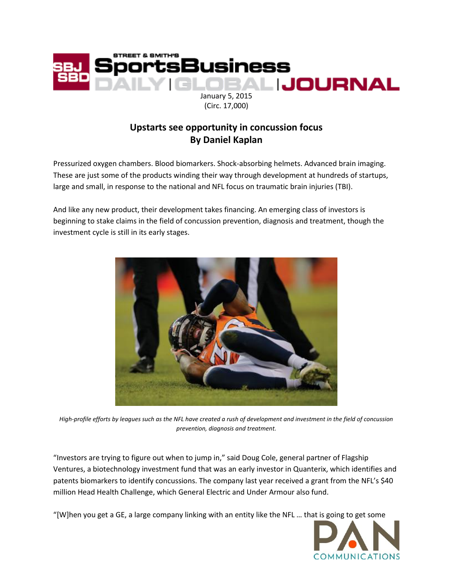

(Circ. 17,000)

## **Upstarts see opportunity in concussion focus By Daniel Kaplan**

Pressurized oxygen chambers. Blood biomarkers. Shock-absorbing helmets. Advanced brain imaging. These are just some of the products winding their way through development at hundreds of startups, large and small, in response to the national and NFL focus on traumatic brain injuries (TBI).

And like any new product, their development takes financing. An emerging class of investors is beginning to stake claims in the field of concussion prevention, diagnosis and treatment, though the investment cycle is still in its early stages.



*High-profile efforts by leagues such as the NFL have created a rush of development and investment in the field of concussion prevention, diagnosis and treatment.*

"Investors are trying to figure out when to jump in," said Doug Cole, general partner of Flagship Ventures, a biotechnology investment fund that was an early investor in Quanterix, which identifies and patents biomarkers to identify concussions. The company last year received a grant from the NFL's \$40 million Head Health Challenge, which General Electric and Under Armour also fund.

"[W]hen you get a GE, a large company linking with an entity like the NFL … that is going to get some

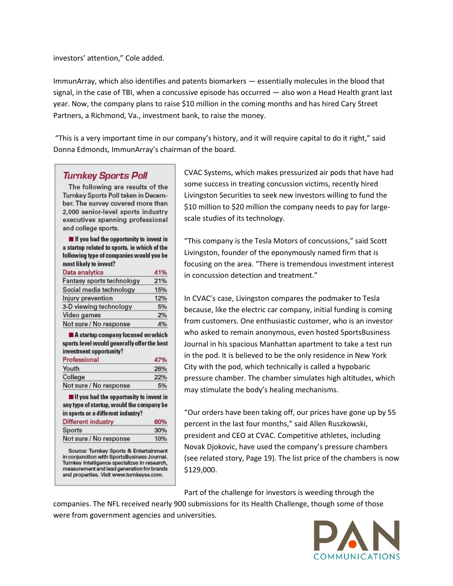investors' attention," Cole added.

ImmunArray, which also identifies and patents biomarkers — essentially molecules in the blood that signal, in the case of TBI, when a concussive episode has occurred — also won a Head Health grant last year. Now, the company plans to raise \$10 million in the coming months and has hired Cary Street Partners, a Richmond, Va., investment bank, to raise the money.

"This is a very important time in our company's history, and it will require capital to do it right," said Donna Edmonds, ImmunArray's chairman of the board.

## **Turnkey Sports Poll**

The following are results of the Turnkey Sports Poll taken in December. The survey covered more than 2,000 senior-level sports industry executives spanning professional and college sports.

If you had the opportunity to invest in a startup related to sports, in which of the following type of companies would you be most likely to invest?

| Data analytics            | 41% |
|---------------------------|-----|
| Fantasy sports technology | 21% |
| Social media technology   | 15% |
| Injury prevention         | 12% |
| 3-D viewing technology    | 5%  |
| Video games               | 2%  |
| Not sure / No response    | 4%  |

A startup company focused on which sports level would generally offer the best investment opportunity?

| Professional           | 47% |
|------------------------|-----|
| Youth                  | 26% |
| College                | 22% |
| Not sure / No response | 5%  |
|                        |     |

 $\blacksquare$  If you had the opportunity to invest in any type of startup, would the company be in sports or a different industry? Different industry 60%

| Sports                 | 30% |
|------------------------|-----|
| Not sure / No response | 10% |

Source: Turnkey Sports & Entertainment in conjunction with SportsBusiness Journal. Turnkey Intelligence specializes in research, measurement and lead generation for brands and properties. Visit www.turnkeyse.com.

CVAC Systems, which makes pressurized air pods that have had some success in treating concussion victims, recently hired Livingston Securities to seek new investors willing to fund the \$10 million to \$20 million the company needs to pay for largescale studies of its technology.

"This company is the Tesla Motors of concussions," said Scott Livingston, founder of the eponymously named firm that is focusing on the area. "There is tremendous investment interest in concussion detection and treatment."

In CVAC's case, Livingston compares the podmaker to Tesla because, like the electric car company, initial funding is coming from customers. One enthusiastic customer, who is an investor who asked to remain anonymous, even hosted SportsBusiness Journal in his spacious Manhattan apartment to take a test run in the pod. It is believed to be the only residence in New York City with the pod, which technically is called a hypobaric pressure chamber. The chamber simulates high altitudes, which may stimulate the body's healing mechanisms.

"Our orders have been taking off, our prices have gone up by 55 percent in the last four months," said Allen Ruszkowski, president and CEO at CVAC. Competitive athletes, including Novak Djokovic, have used the company's pressure chambers (see related story, Page 19). The list price of the chambers is now \$129,000.

Part of the challenge for investors is weeding through the

companies. The NFL received nearly 900 submissions for its Health Challenge, though some of those were from government agencies and universities.

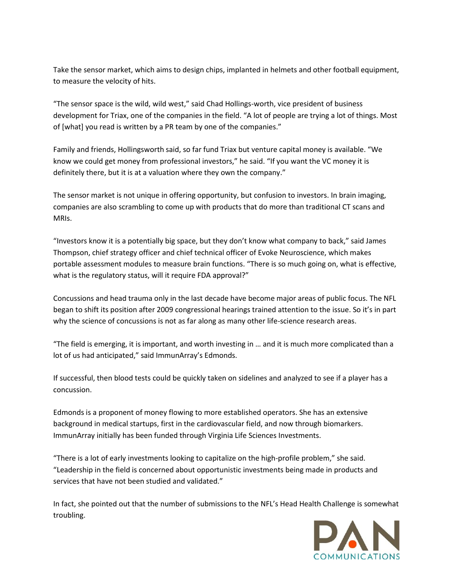Take the sensor market, which aims to design chips, implanted in helmets and other football equipment, to measure the velocity of hits.

"The sensor space is the wild, wild west," said Chad Hollings-worth, vice president of business development for Triax, one of the companies in the field. "A lot of people are trying a lot of things. Most of [what] you read is written by a PR team by one of the companies."

Family and friends, Hollingsworth said, so far fund Triax but venture capital money is available. "We know we could get money from professional investors," he said. "If you want the VC money it is definitely there, but it is at a valuation where they own the company."

The sensor market is not unique in offering opportunity, but confusion to investors. In brain imaging, companies are also scrambling to come up with products that do more than traditional CT scans and MRIs.

"Investors know it is a potentially big space, but they don't know what company to back," said James Thompson, chief strategy officer and chief technical officer of Evoke Neuroscience, which makes portable assessment modules to measure brain functions. "There is so much going on, what is effective, what is the regulatory status, will it require FDA approval?"

Concussions and head trauma only in the last decade have become major areas of public focus. The NFL began to shift its position after 2009 congressional hearings trained attention to the issue. So it's in part why the science of concussions is not as far along as many other life-science research areas.

"The field is emerging, it is important, and worth investing in … and it is much more complicated than a lot of us had anticipated," said ImmunArray's Edmonds.

If successful, then blood tests could be quickly taken on sidelines and analyzed to see if a player has a concussion.

Edmonds is a proponent of money flowing to more established operators. She has an extensive background in medical startups, first in the cardiovascular field, and now through biomarkers. ImmunArray initially has been funded through Virginia Life Sciences Investments.

"There is a lot of early investments looking to capitalize on the high-profile problem," she said. "Leadership in the field is concerned about opportunistic investments being made in products and services that have not been studied and validated."

In fact, she pointed out that the number of submissions to the NFL's Head Health Challenge is somewhat troubling.